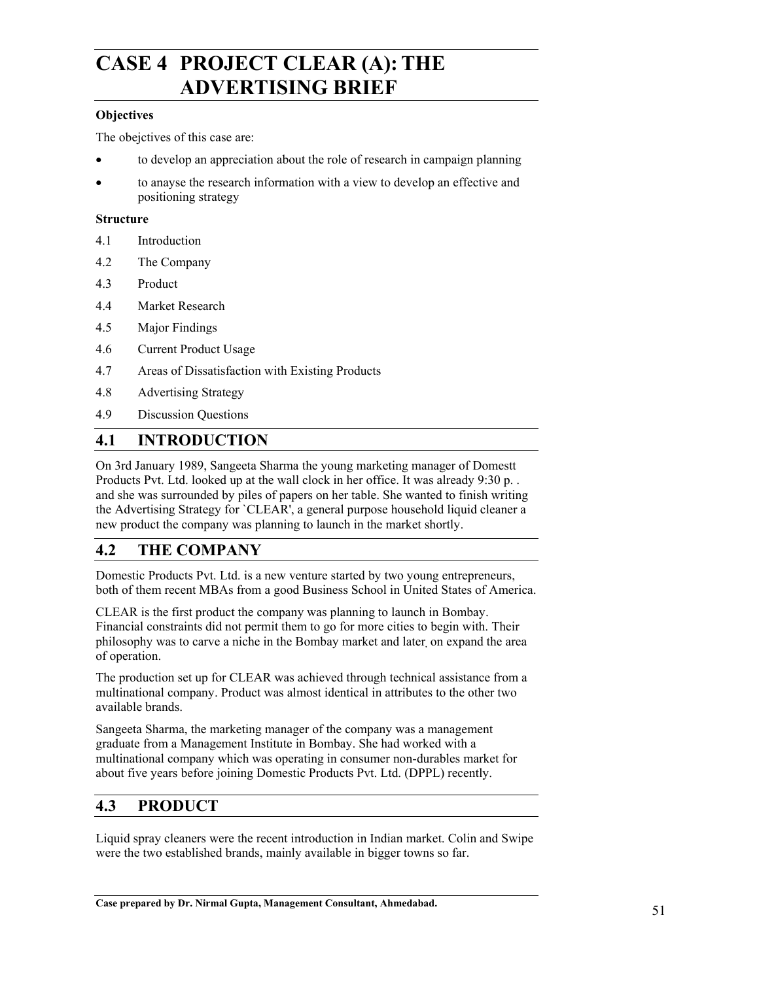## **CASE 4 PROJECT CLEAR (A):THE ADVERTISING BRIEF**

#### **Objectives**

The obejctives of this case are:

- to develop an appreciation about the role of research in campaign planning
- to anayse the research information with a view to develop an effective and positioning strategy

#### **Structure**

- 4.1 Introduction
- 4.2 The Company
- 4.3 Product
- 4.4 Market Research
- 4.5 Major Findings
- 4.6 Current Product Usage
- 4.7 Areas of Dissatisfaction with Existing Products
- 4.8 Advertising Strategy
- 4.9 Discussion Questions

## **4.1 INTRODUCTION**

On 3rd January 1989, Sangeeta Sharma the young marketing manager of Domestt Products Pvt. Ltd. looked up at the wall clock in her office. It was already 9:30 p. . and she was surrounded by piles of papers on her table. She wanted to finish writing the Advertising Strategy for `CLEAR', a general purpose household liquid cleaner a new product the company was planning to launch in the market shortly.

## **4.2 THE COMPANY**

Domestic Products Pvt. Ltd. is a new venture started by two young entrepreneurs, both of them recent MBAs from a good Business School in United States of America.

CLEAR is the first product the company was planning to launch in Bombay. Financial constraints did not permit them to go for more cities to begin with. Their philosophy was to carve a niche in the Bombay market and later, on expand the area of operation.

The production set up for CLEAR was achieved through technical assistance from a multinational company. Product was almost identical in attributes to the other two available brands.

Sangeeta Sharma, the marketing manager of the company was a management graduate from a Management Institute in Bombay. She had worked with a multinational company which was operating in consumer non-durables market for about five years before joining Domestic Products Pvt. Ltd. (DPPL) recently.

## **4.3 PRODUCT**

Liquid spray cleaners were the recent introduction in Indian market. Colin and Swipe were the two established brands, mainly available in bigger towns so far.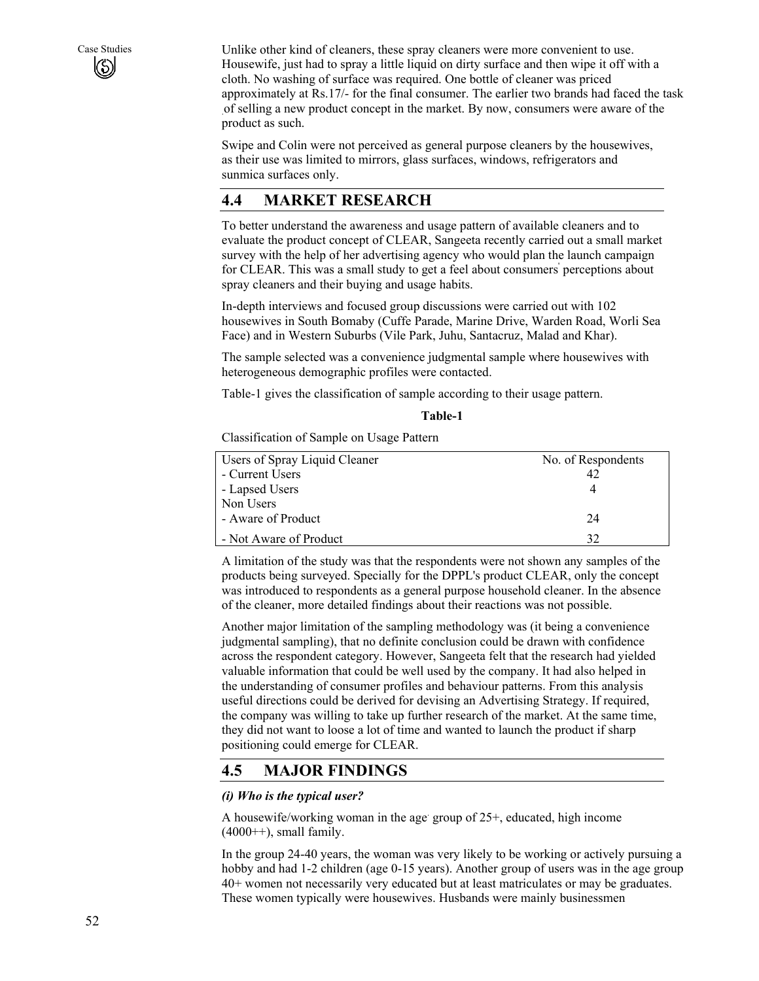Case Studies Unlike other kind of cleaners, these spray cleaners were more convenient to use. Housewife, just had to spray a little liquid on dirty surface and then wipe it off with a cloth. No washing of surface was required. One bottle of cleaner was priced approximately at Rs.17/- for the final consumer. The earlier two brands had faced the task .of selling a new product concept in the market. By now, consumers were aware of the product as such.

> Swipe and Colin were not perceived as general purpose cleaners by the housewives, as their use was limited to mirrors, glass surfaces, windows, refrigerators and sunmica surfaces only.

## **4.4 MARKET RESEARCH**

To better understand the awareness and usage pattern of available cleaners and to evaluate the product concept of CLEAR, Sangeeta recently carried out a small market survey with the help of her advertising agency who would plan the launch campaign for CLEAR. This was a small study to get a feel about consumers perceptions about spray cleaners and their buying and usage habits.

In-depth interviews and focused group discussions were carried out with 102 housewives in South Bomaby (Cuffe Parade, Marine Drive, Warden Road, Worli Sea Face) and in Western Suburbs (Vile Park, Juhu, Santacruz, Malad and Khar).

The sample selected was a convenience judgmental sample where housewives with heterogeneous demographic profiles were contacted.

Table-1 gives the classification of sample according to their usage pattern.

Classification of Sample on Usage Pattern

| Users of Spray Liquid Cleaner<br>- Current Users<br>- Lapsed Users | No. of Respondents<br>42 |
|--------------------------------------------------------------------|--------------------------|
| Non Users<br>- Aware of Product                                    | 24                       |
| - Not Aware of Product                                             | 32                       |

A limitation of the study was that the respondents were not shown any samples of the products being surveyed. Specially for the DPPL's product CLEAR, only the concept was introduced to respondents as a general purpose household cleaner. In the absence of the cleaner, more detailed findings about their reactions was not possible.

Another major limitation of the sampling methodology was (it being a convenience judgmental sampling), that no definite conclusion could be drawn with confidence across the respondent category. However, Sangeeta felt that the research had yielded valuable information that could be well used by the company. It had also helped in the understanding of consumer profiles and behaviour patterns. From this analysis useful directions could be derived for devising an Advertising Strategy. If required, the company was willing to take up further research of the market. At the same time, they did not want to loose a lot of time and wanted to launch the product if sharp positioning could emerge for CLEAR.

## **4.5 MAJOR FINDINGS**

#### *(i) Who is the typical user?*

A housewife/working woman in the age group of 25+, educated, high income  $(4000++)$ , small family.

In the group 24-40 years, the woman was very likely to be working or actively pursuing a hobby and had 1-2 children (age 0-15 years). Another group of users was in the age group 40+ women not necessarily very educated but at least matriculates or may be graduates. These women typically were housewives. Husbands were mainly businessmen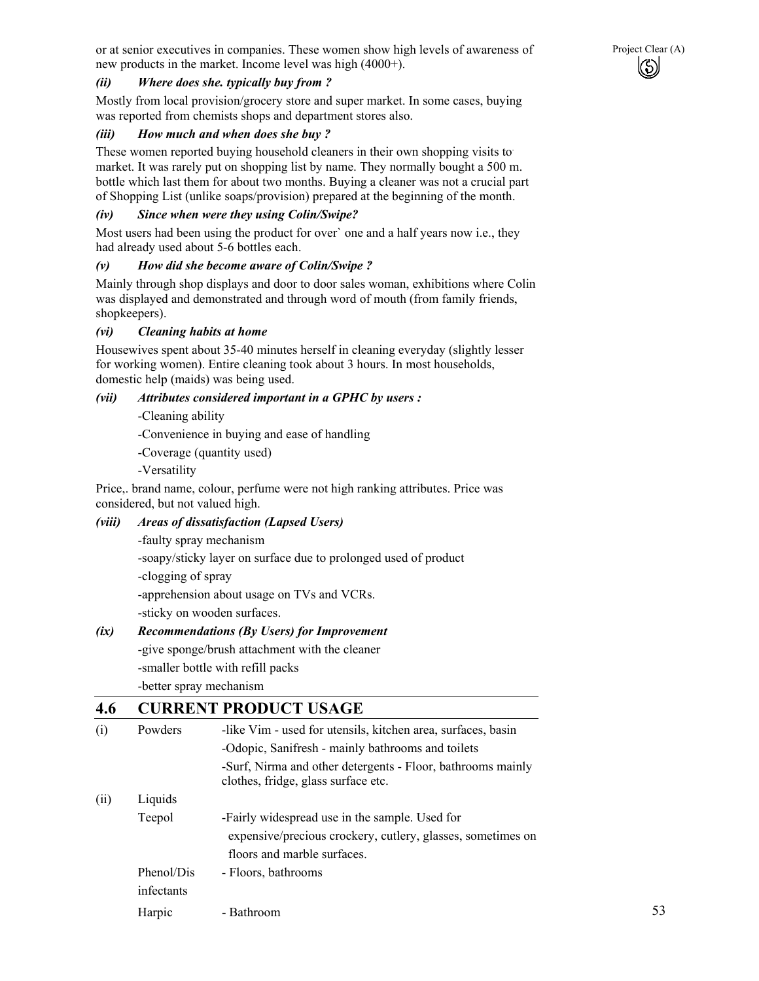or at senior executives in companies. These women show high levels of awareness of Project Clear (A) new products in the market. Income level was high (4000+).



#### *(ii) Where does she. typically buy from ?*

Mostly from local provision/grocery store and super market. In some cases, buying was reported from chemists shops and department stores also.

#### *(iii) How much and when does she buy ?*

These women reported buying household cleaners in their own shopping visits to. market. It was rarely put on shopping list by name. They normally bought a 500 m. bottle which last them for about two months. Buying a cleaner was not a crucial part of Shopping List (unlike soaps/provision) prepared at the beginning of the month.

#### *(iv) Since when were they using Colin/Swipe?*

Most users had been using the product for over` one and a half years now i.e., they had already used about 5-6 bottles each.

#### *(v) How did she become aware of Colin/Swipe ?*

Mainly through shop displays and door to door sales woman, exhibitions where Colin was displayed and demonstrated and through word of mouth (from family friends, shopkeepers).

#### *(vi) Cleaning habits at home*

Housewives spent about 35-40 minutes herself in cleaning everyday (slightly lesser for working women). Entire cleaning took about 3 hours. In most households, domestic help (maids) was being used.

#### *(vii) Attributes considered important in a GPHC by users :*

-Cleaning ability

-Convenience in buying and ease of handling

-Coverage (quantity used)

-Versatility

Price,. brand name, colour, perfume were not high ranking attributes. Price was considered, but not valued high.

#### *(viii) Areas of dissatisfaction (Lapsed Users)*

-faulty spray mechanism

-soapy/sticky layer on surface due to prolonged used of product

-clogging of spray

-apprehension about usage on TVs and VCRs.

-sticky on wooden surfaces.

#### *(ix) Recommendations (By Users) for Improvement*

-give sponge/brush attachment with the cleaner -smaller bottle with refill packs

-better spray mechanism

## **4.6 CURRENT PRODUCT USAGE**

| (i)  | Powders    | -like Vim - used for utensils, kitchen area, surfaces, basin<br>-Odopic, Sanifresh - mainly bathrooms and toilets |
|------|------------|-------------------------------------------------------------------------------------------------------------------|
|      |            | -Surf, Nirma and other detergents - Floor, bathrooms mainly                                                       |
|      |            | clothes, fridge, glass surface etc.                                                                               |
| (ii) | Liquids    |                                                                                                                   |
|      | Teepol     | -Fairly widespread use in the sample. Used for                                                                    |
|      |            | expensive/precious crockery, cutlery, glasses, sometimes on                                                       |
|      |            | floors and marble surfaces.                                                                                       |
|      | Phenol/Dis | - Floors, bathrooms                                                                                               |
|      | infectants |                                                                                                                   |
|      | Harpic     | - Bathroom                                                                                                        |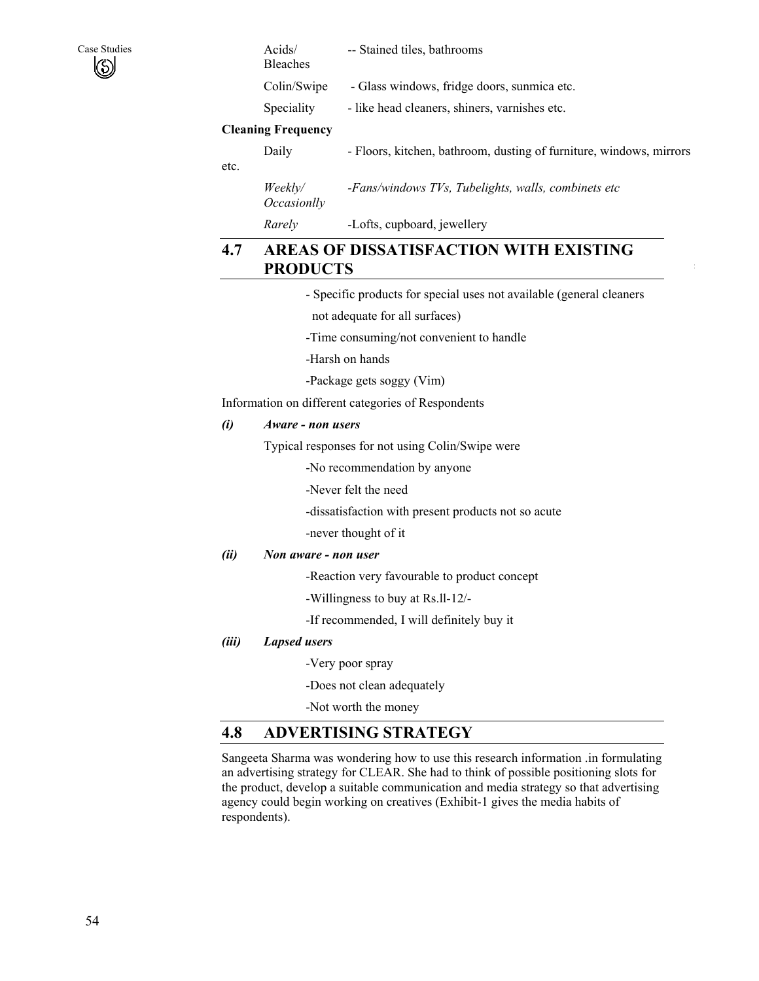| Case Studies<br>Ø |                           | Acids/<br><b>Bleaches</b>     | -- Stained tiles, bathrooms                                         |
|-------------------|---------------------------|-------------------------------|---------------------------------------------------------------------|
|                   |                           | Colin/Swipe                   | - Glass windows, fridge doors, sunmica etc.                         |
|                   |                           | Speciality                    | - like head cleaners, shiners, varnishes etc.                       |
|                   | <b>Cleaning Frequency</b> |                               |                                                                     |
|                   |                           | Daily                         | - Floors, kitchen, bathroom, dusting of furniture, windows, mirrors |
|                   | etc.                      |                               |                                                                     |
|                   |                           | Weekly/<br><i>Occasionlly</i> | -Fans/windows TVs, Tubelights, walls, combinets etc                 |

*Rarely -*Lofts, cupboard, jewellery

## **4.7 AREAS OF DISSATISFACTION WITH EXISTING PRODUCTS**

- Specific products for special uses not available (general cleaners

not adequate for all surfaces)

- -Time consuming/not convenient to handle
- -Harsh on hands
- -Package gets soggy (Vim)

Information on different categories of Respondents

#### *(i) Aware - non users*

Typical responses for not using Colin/Swipe were

-No recommendation by anyone

-Never felt the need

-dissatisfaction with present products not so acute

-never thought of it

#### *(ii) Non aware - non user*

-Reaction very favourable to product concept

- -Willingness to buy at Rs.ll-12/-
- -If recommended, I will definitely buy it

#### *(iii) Lapsed users*

-Very poor spray

-Does not clean adequately

-Not worth the money

### **4.8 ADVERTISING STRATEGY**

Sangeeta Sharma was wondering how to use this research information .in formulating an advertising strategy for CLEAR. She had to think of possible positioning slots for the product, develop a suitable communication and media strategy so that advertising agency could begin working on creatives (Exhibit-1 gives the media habits of respondents).